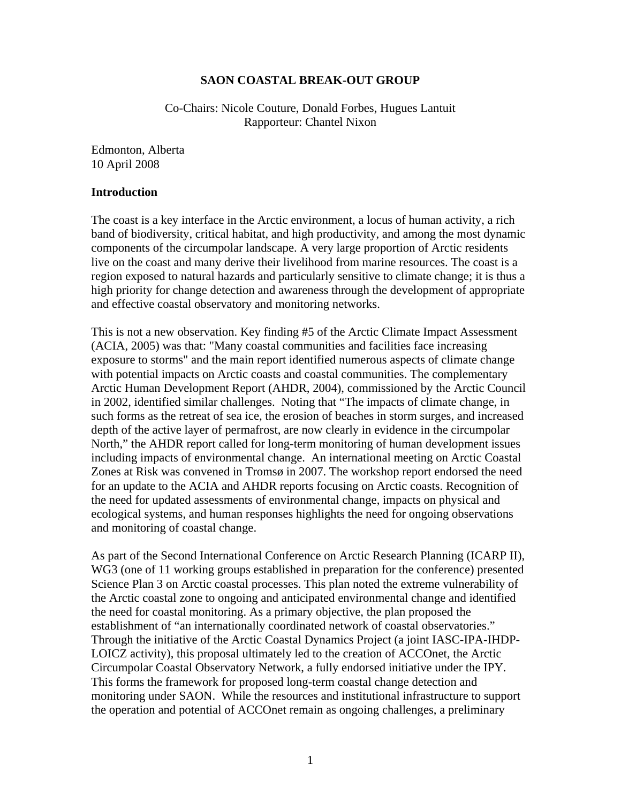### **SAON COASTAL BREAK-OUT GROUP**

Co-Chairs: Nicole Couture, Donald Forbes, Hugues Lantuit Rapporteur: Chantel Nixon

Edmonton, Alberta 10 April 2008

#### **Introduction**

The coast is a key interface in the Arctic environment, a locus of human activity, a rich band of biodiversity, critical habitat, and high productivity, and among the most dynamic components of the circumpolar landscape. A very large proportion of Arctic residents live on the coast and many derive their livelihood from marine resources. The coast is a region exposed to natural hazards and particularly sensitive to climate change; it is thus a high priority for change detection and awareness through the development of appropriate and effective coastal observatory and monitoring networks.

This is not a new observation. Key finding #5 of the Arctic Climate Impact Assessment (ACIA, 2005) was that: "Many coastal communities and facilities face increasing exposure to storms" and the main report identified numerous aspects of climate change with potential impacts on Arctic coasts and coastal communities. The complementary Arctic Human Development Report (AHDR, 2004), commissioned by the Arctic Council in 2002, identified similar challenges. Noting that "The impacts of climate change, in such forms as the retreat of sea ice, the erosion of beaches in storm surges, and increased depth of the active layer of permafrost, are now clearly in evidence in the circumpolar North," the AHDR report called for long-term monitoring of human development issues including impacts of environmental change. An international meeting on Arctic Coastal Zones at Risk was convened in Tromsø in 2007. The workshop report endorsed the need for an update to the ACIA and AHDR reports focusing on Arctic coasts. Recognition of the need for updated assessments of environmental change, impacts on physical and ecological systems, and human responses highlights the need for ongoing observations and monitoring of coastal change.

As part of the Second International Conference on Arctic Research Planning (ICARP II), WG3 (one of 11 working groups established in preparation for the conference) presented Science Plan 3 on Arctic coastal processes. This plan noted the extreme vulnerability of the Arctic coastal zone to ongoing and anticipated environmental change and identified the need for coastal monitoring. As a primary objective, the plan proposed the establishment of "an internationally coordinated network of coastal observatories." Through the initiative of the Arctic Coastal Dynamics Project (a joint IASC-IPA-IHDP-LOICZ activity), this proposal ultimately led to the creation of ACCOnet, the Arctic Circumpolar Coastal Observatory Network, a fully endorsed initiative under the IPY. This forms the framework for proposed long-term coastal change detection and monitoring under SAON. While the resources and institutional infrastructure to support the operation and potential of ACCOnet remain as ongoing challenges, a preliminary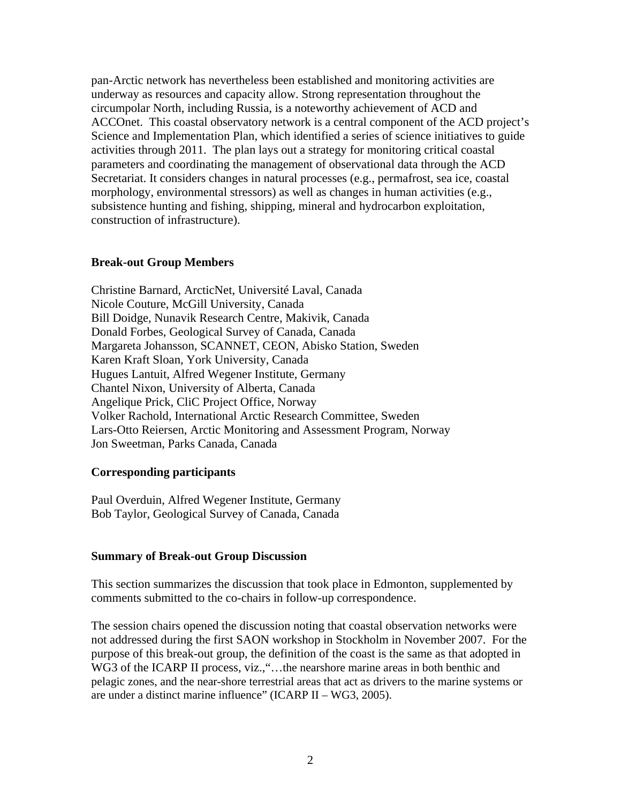pan-Arctic network has nevertheless been established and monitoring activities are underway as resources and capacity allow. Strong representation throughout the circumpolar North, including Russia, is a noteworthy achievement of ACD and ACCOnet. This coastal observatory network is a central component of the ACD project's Science and Implementation Plan, which identified a series of science initiatives to guide activities through 2011. The plan lays out a strategy for monitoring critical coastal parameters and coordinating the management of observational data through the ACD Secretariat. It considers changes in natural processes (e.g., permafrost, sea ice, coastal morphology, environmental stressors) as well as changes in human activities (e.g., subsistence hunting and fishing, shipping, mineral and hydrocarbon exploitation, construction of infrastructure).

### **Break-out Group Members**

Christine Barnard, ArcticNet, Université Laval, Canada Nicole Couture, McGill University, Canada Bill Doidge, Nunavik Research Centre, Makivik, Canada Donald Forbes, Geological Survey of Canada, Canada Margareta Johansson, SCANNET, CEON, Abisko Station, Sweden Karen Kraft Sloan, York University, Canada Hugues Lantuit, Alfred Wegener Institute, Germany Chantel Nixon, University of Alberta, Canada Angelique Prick, CliC Project Office, Norway Volker Rachold, International Arctic Research Committee, Sweden Lars-Otto Reiersen, Arctic Monitoring and Assessment Program, Norway Jon Sweetman, Parks Canada, Canada

#### **Corresponding participants**

Paul Overduin, Alfred Wegener Institute, Germany Bob Taylor, Geological Survey of Canada, Canada

## **Summary of Break-out Group Discussion**

This section summarizes the discussion that took place in Edmonton, supplemented by comments submitted to the co-chairs in follow-up correspondence.

The session chairs opened the discussion noting that coastal observation networks were not addressed during the first SAON workshop in Stockholm in November 2007. For the purpose of this break-out group, the definition of the coast is the same as that adopted in WG3 of the ICARP II process, viz., "... the nearshore marine areas in both benthic and pelagic zones, and the near-shore terrestrial areas that act as drivers to the marine systems or are under a distinct marine influence" (ICARP II – WG3, 2005).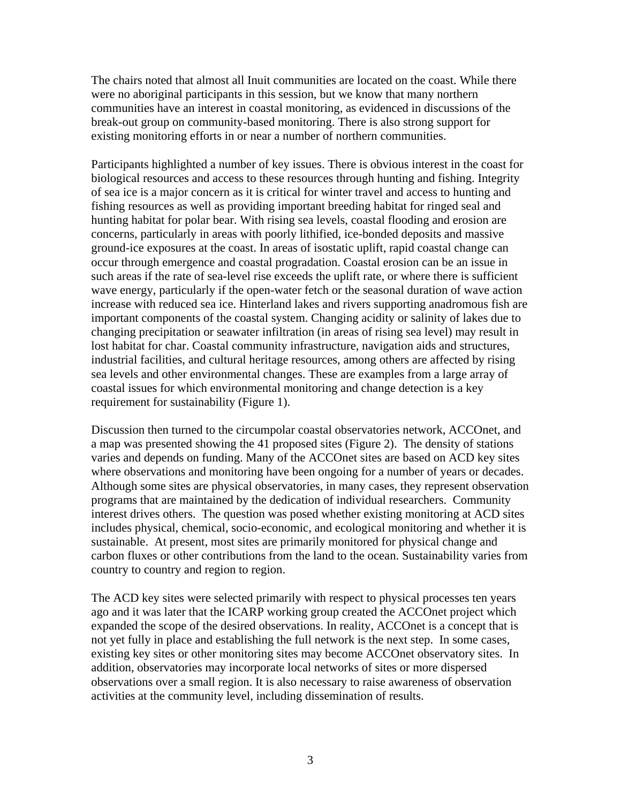The chairs noted that almost all Inuit communities are located on the coast. While there were no aboriginal participants in this session, but we know that many northern communities have an interest in coastal monitoring, as evidenced in discussions of the break-out group on community-based monitoring. There is also strong support for existing monitoring efforts in or near a number of northern communities.

Participants highlighted a number of key issues. There is obvious interest in the coast for biological resources and access to these resources through hunting and fishing. Integrity of sea ice is a major concern as it is critical for winter travel and access to hunting and fishing resources as well as providing important breeding habitat for ringed seal and hunting habitat for polar bear. With rising sea levels, coastal flooding and erosion are concerns, particularly in areas with poorly lithified, ice-bonded deposits and massive ground-ice exposures at the coast. In areas of isostatic uplift, rapid coastal change can occur through emergence and coastal progradation. Coastal erosion can be an issue in such areas if the rate of sea-level rise exceeds the uplift rate, or where there is sufficient wave energy, particularly if the open-water fetch or the seasonal duration of wave action increase with reduced sea ice. Hinterland lakes and rivers supporting anadromous fish are important components of the coastal system. Changing acidity or salinity of lakes due to changing precipitation or seawater infiltration (in areas of rising sea level) may result in lost habitat for char. Coastal community infrastructure, navigation aids and structures, industrial facilities, and cultural heritage resources, among others are affected by rising sea levels and other environmental changes. These are examples from a large array of coastal issues for which environmental monitoring and change detection is a key requirement for sustainability (Figure 1).

Discussion then turned to the circumpolar coastal observatories network, ACCOnet, and a map was presented showing the 41 proposed sites (Figure 2). The density of stations varies and depends on funding. Many of the ACCOnet sites are based on ACD key sites where observations and monitoring have been ongoing for a number of years or decades. Although some sites are physical observatories, in many cases, they represent observation programs that are maintained by the dedication of individual researchers. Community interest drives others. The question was posed whether existing monitoring at ACD sites includes physical, chemical, socio-economic, and ecological monitoring and whether it is sustainable. At present, most sites are primarily monitored for physical change and carbon fluxes or other contributions from the land to the ocean. Sustainability varies from country to country and region to region.

The ACD key sites were selected primarily with respect to physical processes ten years ago and it was later that the ICARP working group created the ACCOnet project which expanded the scope of the desired observations. In reality, ACCOnet is a concept that is not yet fully in place and establishing the full network is the next step. In some cases, existing key sites or other monitoring sites may become ACCOnet observatory sites. In addition, observatories may incorporate local networks of sites or more dispersed observations over a small region. It is also necessary to raise awareness of observation activities at the community level, including dissemination of results.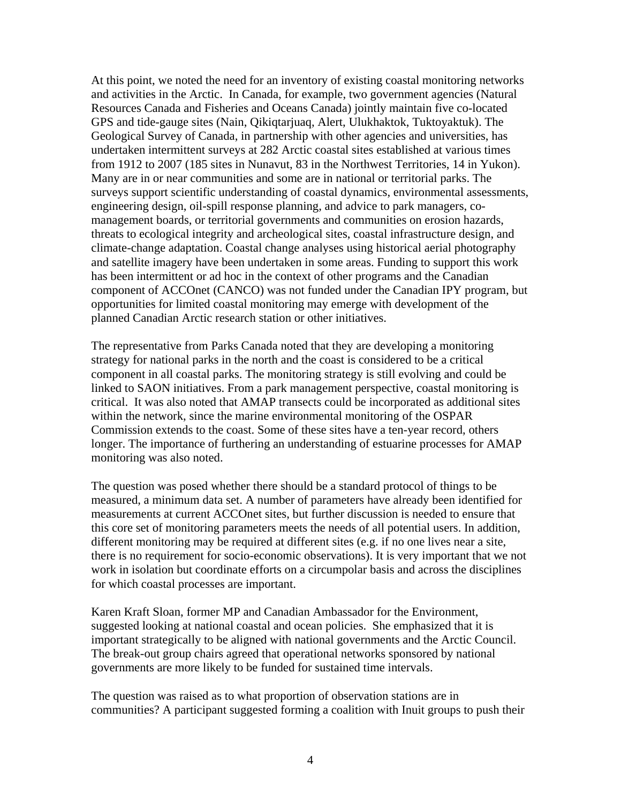At this point, we noted the need for an inventory of existing coastal monitoring networks and activities in the Arctic. In Canada, for example, two government agencies (Natural Resources Canada and Fisheries and Oceans Canada) jointly maintain five co-located GPS and tide-gauge sites (Nain, Qikiqtarjuaq, Alert, Ulukhaktok, Tuktoyaktuk). The Geological Survey of Canada, in partnership with other agencies and universities, has undertaken intermittent surveys at 282 Arctic coastal sites established at various times from 1912 to 2007 (185 sites in Nunavut, 83 in the Northwest Territories, 14 in Yukon). Many are in or near communities and some are in national or territorial parks. The surveys support scientific understanding of coastal dynamics, environmental assessments, engineering design, oil-spill response planning, and advice to park managers, comanagement boards, or territorial governments and communities on erosion hazards, threats to ecological integrity and archeological sites, coastal infrastructure design, and climate-change adaptation. Coastal change analyses using historical aerial photography and satellite imagery have been undertaken in some areas. Funding to support this work has been intermittent or ad hoc in the context of other programs and the Canadian component of ACCOnet (CANCO) was not funded under the Canadian IPY program, but opportunities for limited coastal monitoring may emerge with development of the planned Canadian Arctic research station or other initiatives.

The representative from Parks Canada noted that they are developing a monitoring strategy for national parks in the north and the coast is considered to be a critical component in all coastal parks. The monitoring strategy is still evolving and could be linked to SAON initiatives. From a park management perspective, coastal monitoring is critical. It was also noted that AMAP transects could be incorporated as additional sites within the network, since the marine environmental monitoring of the OSPAR Commission extends to the coast. Some of these sites have a ten-year record, others longer. The importance of furthering an understanding of estuarine processes for AMAP monitoring was also noted.

The question was posed whether there should be a standard protocol of things to be measured, a minimum data set. A number of parameters have already been identified for measurements at current ACCOnet sites, but further discussion is needed to ensure that this core set of monitoring parameters meets the needs of all potential users. In addition, different monitoring may be required at different sites (e.g. if no one lives near a site, there is no requirement for socio-economic observations). It is very important that we not work in isolation but coordinate efforts on a circumpolar basis and across the disciplines for which coastal processes are important.

Karen Kraft Sloan, former MP and Canadian Ambassador for the Environment, suggested looking at national coastal and ocean policies. She emphasized that it is important strategically to be aligned with national governments and the Arctic Council. The break-out group chairs agreed that operational networks sponsored by national governments are more likely to be funded for sustained time intervals.

The question was raised as to what proportion of observation stations are in communities? A participant suggested forming a coalition with Inuit groups to push their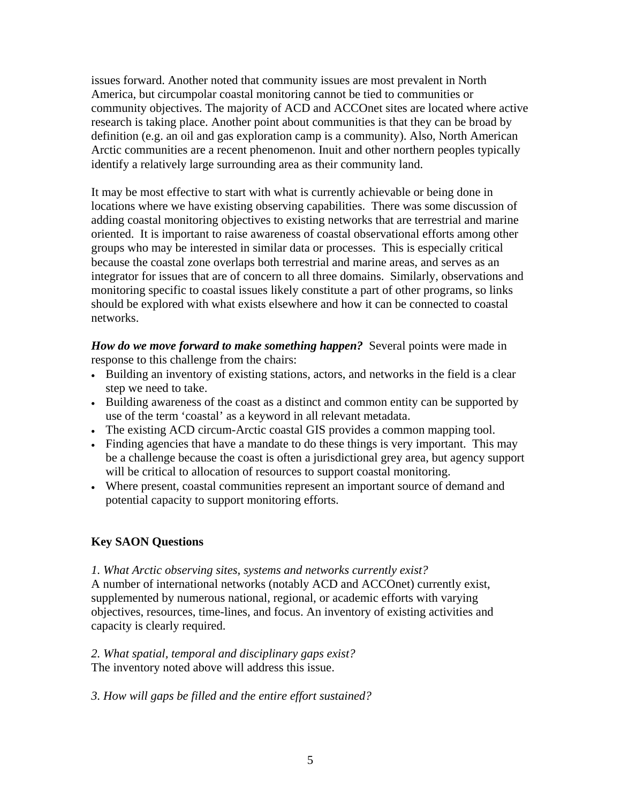issues forward. Another noted that community issues are most prevalent in North America, but circumpolar coastal monitoring cannot be tied to communities or community objectives. The majority of ACD and ACCOnet sites are located where active research is taking place. Another point about communities is that they can be broad by definition (e.g. an oil and gas exploration camp is a community). Also, North American Arctic communities are a recent phenomenon. Inuit and other northern peoples typically identify a relatively large surrounding area as their community land.

It may be most effective to start with what is currently achievable or being done in locations where we have existing observing capabilities. There was some discussion of adding coastal monitoring objectives to existing networks that are terrestrial and marine oriented. It is important to raise awareness of coastal observational efforts among other groups who may be interested in similar data or processes. This is especially critical because the coastal zone overlaps both terrestrial and marine areas, and serves as an integrator for issues that are of concern to all three domains. Similarly, observations and monitoring specific to coastal issues likely constitute a part of other programs, so links should be explored with what exists elsewhere and how it can be connected to coastal networks.

*How do we move forward to make something happen?* Several points were made in response to this challenge from the chairs:

- Building an inventory of existing stations, actors, and networks in the field is a clear step we need to take.
- Building awareness of the coast as a distinct and common entity can be supported by use of the term 'coastal' as a keyword in all relevant metadata.
- The existing ACD circum-Arctic coastal GIS provides a common mapping tool.
- Finding agencies that have a mandate to do these things is very important. This may be a challenge because the coast is often a jurisdictional grey area, but agency support will be critical to allocation of resources to support coastal monitoring.
- Where present, coastal communities represent an important source of demand and potential capacity to support monitoring efforts.

# **Key SAON Questions**

*1. What Arctic observing sites, systems and networks currently exist?* 

A number of international networks (notably ACD and ACCOnet) currently exist, supplemented by numerous national, regional, or academic efforts with varying objectives, resources, time-lines, and focus. An inventory of existing activities and capacity is clearly required.

*2. What spatial, temporal and disciplinary gaps exist?*  The inventory noted above will address this issue.

*3. How will gaps be filled and the entire effort sustained?*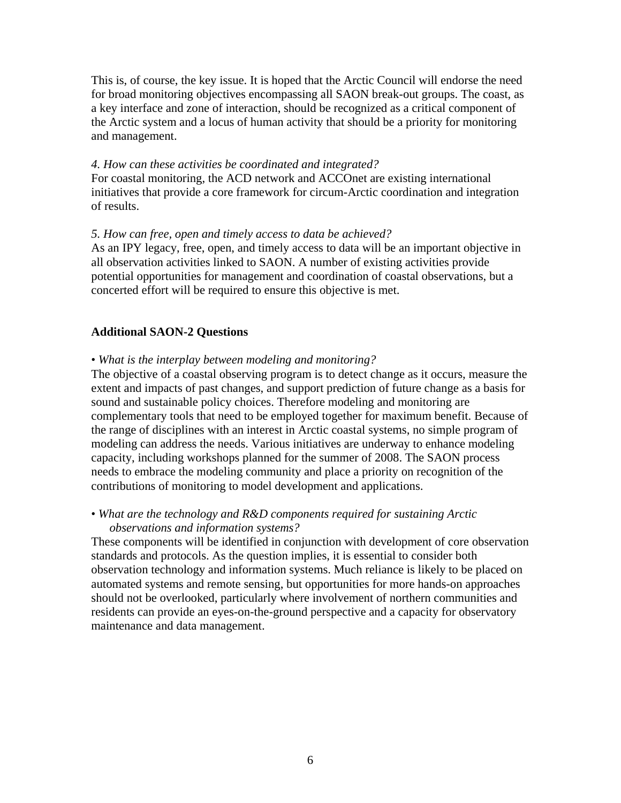This is, of course, the key issue. It is hoped that the Arctic Council will endorse the need for broad monitoring objectives encompassing all SAON break-out groups. The coast, as a key interface and zone of interaction, should be recognized as a critical component of the Arctic system and a locus of human activity that should be a priority for monitoring and management.

#### *4. How can these activities be coordinated and integrated?*

For coastal monitoring, the ACD network and ACCOnet are existing international initiatives that provide a core framework for circum-Arctic coordination and integration of results.

#### *5. How can free, open and timely access to data be achieved?*

As an IPY legacy, free, open, and timely access to data will be an important objective in all observation activities linked to SAON. A number of existing activities provide potential opportunities for management and coordination of coastal observations, but a concerted effort will be required to ensure this objective is met.

## **Additional SAON-2 Questions**

#### • *What is the interplay between modeling and monitoring?*

The objective of a coastal observing program is to detect change as it occurs, measure the extent and impacts of past changes, and support prediction of future change as a basis for sound and sustainable policy choices. Therefore modeling and monitoring are complementary tools that need to be employed together for maximum benefit. Because of the range of disciplines with an interest in Arctic coastal systems, no simple program of modeling can address the needs. Various initiatives are underway to enhance modeling capacity, including workshops planned for the summer of 2008. The SAON process needs to embrace the modeling community and place a priority on recognition of the contributions of monitoring to model development and applications.

## • *What are the technology and R&D components required for sustaining Arctic observations and information systems?*

These components will be identified in conjunction with development of core observation standards and protocols. As the question implies, it is essential to consider both observation technology and information systems. Much reliance is likely to be placed on automated systems and remote sensing, but opportunities for more hands-on approaches should not be overlooked, particularly where involvement of northern communities and residents can provide an eyes-on-the-ground perspective and a capacity for observatory maintenance and data management.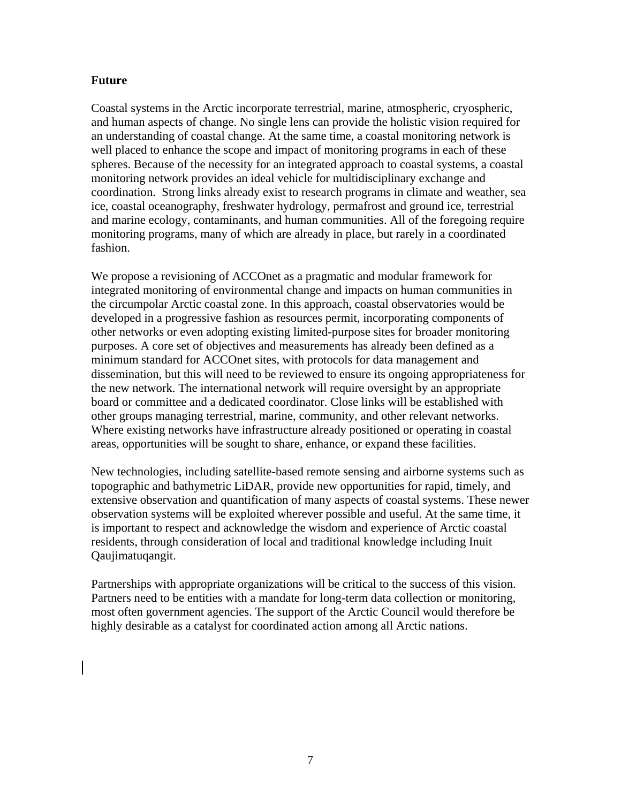# **Future**

Coastal systems in the Arctic incorporate terrestrial, marine, atmospheric, cryospheric, and human aspects of change. No single lens can provide the holistic vision required for an understanding of coastal change. At the same time, a coastal monitoring network is well placed to enhance the scope and impact of monitoring programs in each of these spheres. Because of the necessity for an integrated approach to coastal systems, a coastal monitoring network provides an ideal vehicle for multidisciplinary exchange and coordination. Strong links already exist to research programs in climate and weather, sea ice, coastal oceanography, freshwater hydrology, permafrost and ground ice, terrestrial and marine ecology, contaminants, and human communities. All of the foregoing require monitoring programs, many of which are already in place, but rarely in a coordinated fashion.

We propose a revisioning of ACCOnet as a pragmatic and modular framework for integrated monitoring of environmental change and impacts on human communities in the circumpolar Arctic coastal zone. In this approach, coastal observatories would be developed in a progressive fashion as resources permit, incorporating components of other networks or even adopting existing limited-purpose sites for broader monitoring purposes. A core set of objectives and measurements has already been defined as a minimum standard for ACCOnet sites, with protocols for data management and dissemination, but this will need to be reviewed to ensure its ongoing appropriateness for the new network. The international network will require oversight by an appropriate board or committee and a dedicated coordinator. Close links will be established with other groups managing terrestrial, marine, community, and other relevant networks. Where existing networks have infrastructure already positioned or operating in coastal areas, opportunities will be sought to share, enhance, or expand these facilities.

New technologies, including satellite-based remote sensing and airborne systems such as topographic and bathymetric LiDAR, provide new opportunities for rapid, timely, and extensive observation and quantification of many aspects of coastal systems. These newer observation systems will be exploited wherever possible and useful. At the same time, it is important to respect and acknowledge the wisdom and experience of Arctic coastal residents, through consideration of local and traditional knowledge including Inuit Qaujimatuqangit.

Partnerships with appropriate organizations will be critical to the success of this vision. Partners need to be entities with a mandate for long-term data collection or monitoring, most often government agencies. The support of the Arctic Council would therefore be highly desirable as a catalyst for coordinated action among all Arctic nations.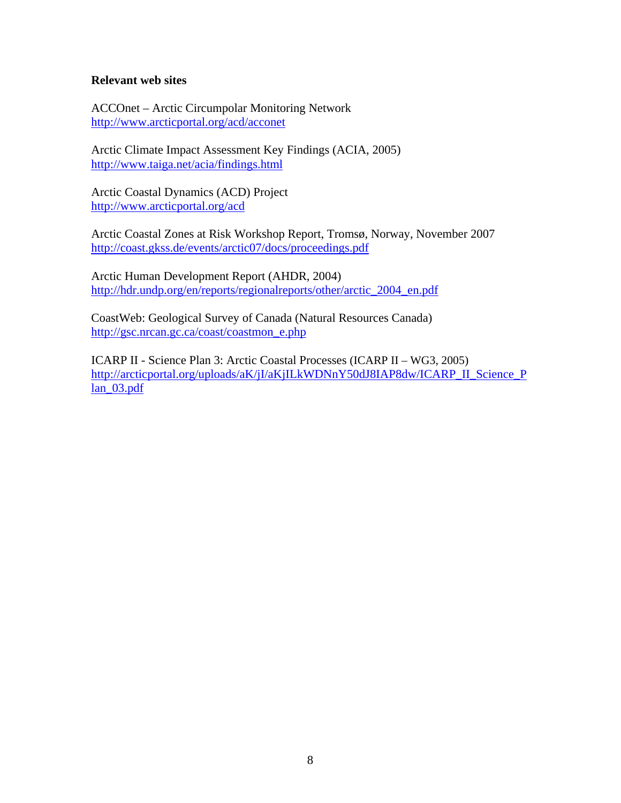### **Relevant web sites**

ACCOnet – Arctic Circumpolar Monitoring Network <http://www.arcticportal.org/acd/acconet>

Arctic Climate Impact Assessment Key Findings (ACIA, 2005) <http://www.taiga.net/acia/findings.html>

Arctic Coastal Dynamics (ACD) Project <http://www.arcticportal.org/acd>

Arctic Coastal Zones at Risk Workshop Report, Tromsø, Norway, November 2007 <http://coast.gkss.de/events/arctic07/docs/proceedings.pdf>

Arctic Human Development Report (AHDR, 2004) [http://hdr.undp.org/en/reports/regionalreports/other/arctic\\_2004\\_en.pdf](http://hdr.undp.org/en/reports/regionalreports/other/arctic_2004_en.pdf)

CoastWeb: Geological Survey of Canada (Natural Resources Canada) http://gsc.nrcan.gc.ca/coast/coastmon\_e.php

ICARP II - Science Plan 3: Arctic Coastal Processes (ICARP II – WG3, 2005) [http://arcticportal.org/uploads/aK/jI/aKjILkWDNnY50dJ8IAP8dw/ICARP\\_II\\_Science\\_P](http://arcticportal.org/uploads/aK/jI/aKjILkWDNnY50dJ8IAP8dw/ICARP_II_Science_Plan_03.pdf)  $lan_03.pdf$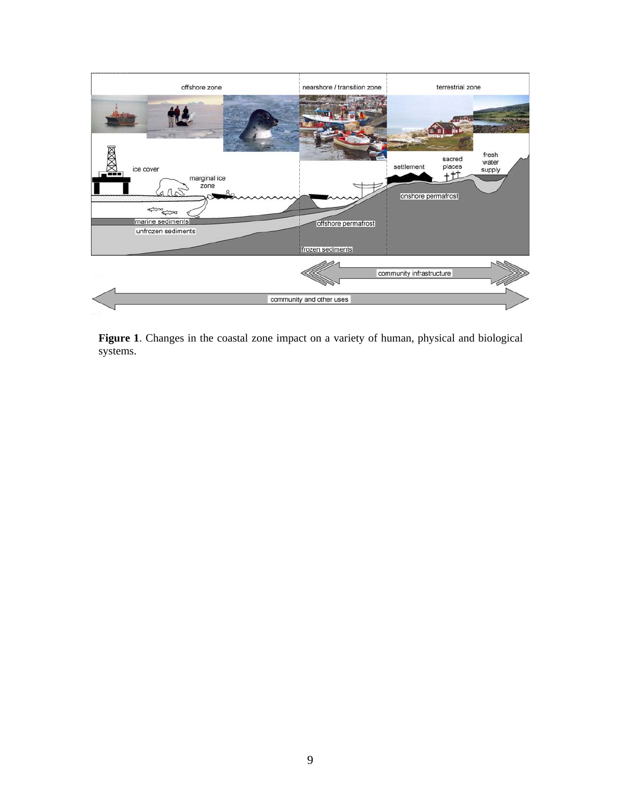

**Figure 1**. Changes in the coastal zone impact on a variety of human, physical and biological systems.